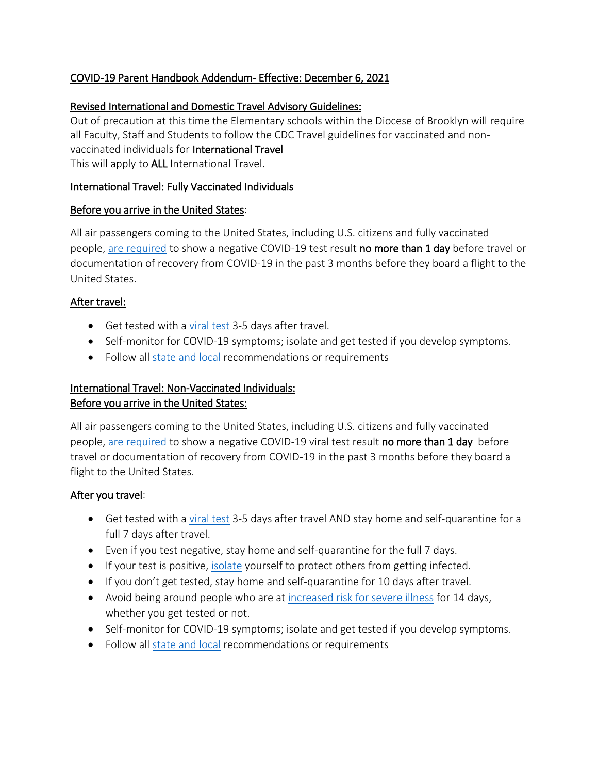# COVID-19 Parent Handbook Addendum- Effective: December 6, 2021

### Revised International and Domestic Travel Advisory Guidelines:

Out of precaution at this time the Elementary schools within the Diocese of Brooklyn will require all Faculty, Staff and Students to follow the CDC Travel guidelines for vaccinated and nonvaccinated individuals for International Travel This will apply to ALL International Travel.

### International Travel: Fully Vaccinated Individuals

#### Before you arrive in the United States:

All air passengers coming to the United States, including U.S. citizens and fully vaccinated people, are [required](https://www.cdc.gov/coronavirus/2019-ncov/travelers/testing-international-air-travelers.html) to show a negative COVID-19 test result no more than 1 day before travel or documentation of recovery from COVID-19 in the past 3 months before they board a flight to the United States.

### After travel:

- Get tested with a [viral test](https://www.cdc.gov/coronavirus/2019-ncov/testing/diagnostic-testing.html) 3-5 days after travel.
- Self-monitor for COVID-19 symptoms; isolate and get tested if you develop symptoms.
- Follow all [state and local](https://www.cdc.gov/coronavirus/2019-ncov/travelers/travel-planner/index.html) recommendations or requirements

# International Travel: Non-Vaccinated Individuals: Before you arrive in the United States:

All air passengers coming to the United States, including U.S. citizens and fully vaccinated people, are [required](https://www.cdc.gov/coronavirus/2019-ncov/travelers/testing-international-air-travelers.html) to show a negative COVID-19 viral test result no more than 1 day before travel or documentation of recovery from COVID-19 in the past 3 months before they board a flight to the United States.

### After you travel:

- Get tested with a [viral test](https://www.cdc.gov/coronavirus/2019-ncov/testing/diagnostic-testing.html) 3-5 days after travel AND stay home and self-quarantine for a full 7 days after travel.
- Even if you test negative, stay home and self-quarantine for the full 7 days.
- If your test is positive, [isolate](https://www.cdc.gov/coronavirus/2019-ncov/if-you-are-sick/isolation.html) yourself to protect others from getting infected.
- If you don't get tested, stay home and self-quarantine for 10 days after travel.
- Avoid being around people who are at [increased risk for severe illness](https://www.cdc.gov/coronavirus/2019-ncov/need-extra-precautions/index.html) for 14 days, whether you get tested or not.
- Self-monitor for COVID-19 symptoms; isolate and get tested if you develop symptoms.
- Follow all [state and local](https://www.cdc.gov/coronavirus/2019-ncov/travelers/travel-planner/index.html) recommendations or requirements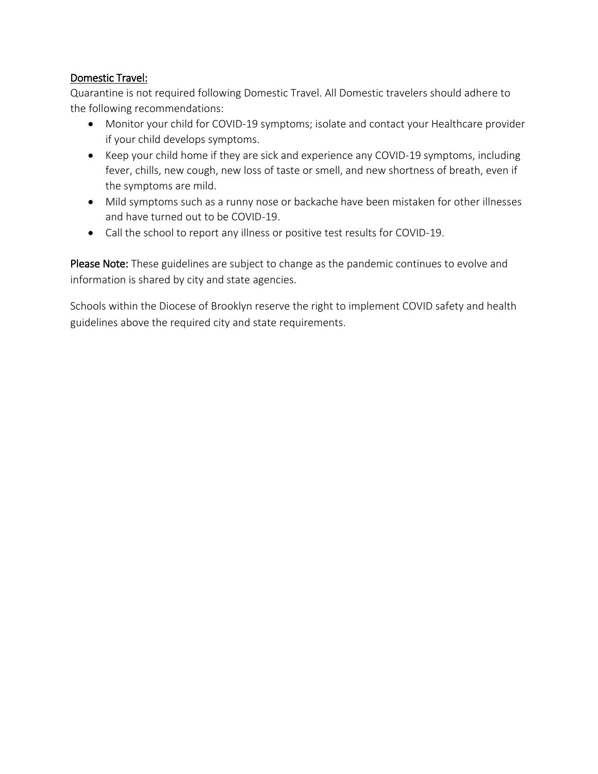## Domestic Travel:

Quarantine is not required following Domestic Travel. All Domestic travelers should adhere to the following recommendations:

- Monitor your child for COVID-19 symptoms; isolate and contact your Healthcare provider if your child develops symptoms.
- Keep your child home if they are sick and experience any COVID-19 symptoms, including fever, chills, new cough, new loss of taste or smell, and new shortness of breath, even if the symptoms are mild.
- Mild symptoms such as a runny nose or backache have been mistaken for other illnesses and have turned out to be COVID-19.
- Call the school to report any illness or positive test results for COVID-19.

Please Note: These guidelines are subject to change as the pandemic continues to evolve and information is shared by city and state agencies.

Schools within the Diocese of Brooklyn reserve the right to implement COVID safety and health guidelines above the required city and state requirements.